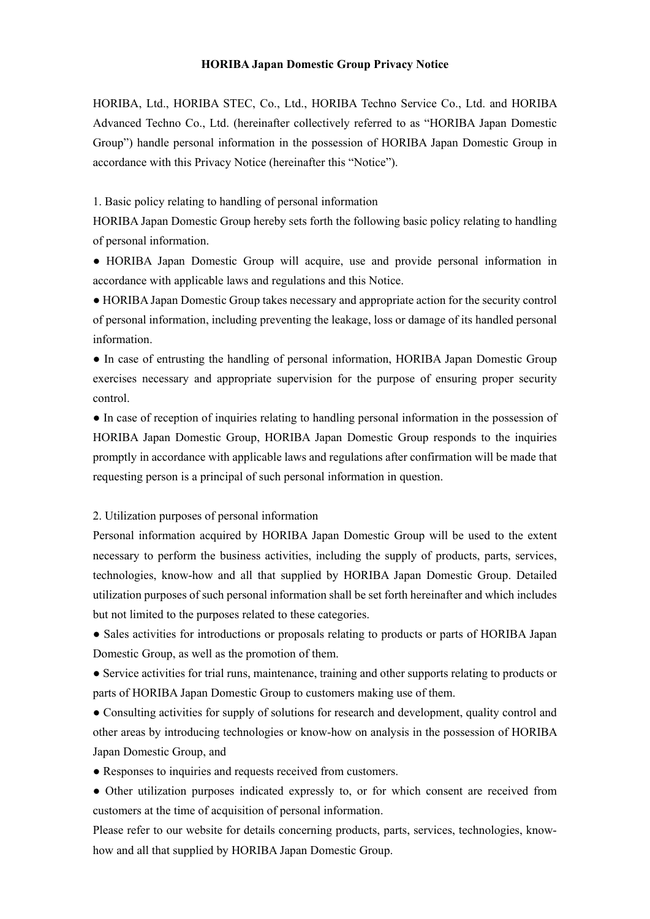## **HORIBA Japan Domestic Group Privacy Notice**

HORIBA, Ltd., HORIBA STEC, Co., Ltd., HORIBA Techno Service Co., Ltd. and HORIBA Advanced Techno Co., Ltd. (hereinafter collectively referred to as "HORIBA Japan Domestic Group") handle personal information in the possession of HORIBA Japan Domestic Group in accordance with this Privacy Notice (hereinafter this "Notice").

1. Basic policy relating to handling of personal information

HORIBA Japan Domestic Group hereby sets forth the following basic policy relating to handling of personal information.

● HORIBA Japan Domestic Group will acquire, use and provide personal information in accordance with applicable laws and regulations and this Notice.

● HORIBA Japan Domestic Group takes necessary and appropriate action for the security control of personal information, including preventing the leakage, loss or damage of its handled personal information.

● In case of entrusting the handling of personal information, HORIBA Japan Domestic Group exercises necessary and appropriate supervision for the purpose of ensuring proper security control.

● In case of reception of inquiries relating to handling personal information in the possession of HORIBA Japan Domestic Group, HORIBA Japan Domestic Group responds to the inquiries promptly in accordance with applicable laws and regulations after confirmation will be made that requesting person is a principal of such personal information in question.

#### 2. Utilization purposes of personal information

Personal information acquired by HORIBA Japan Domestic Group will be used to the extent necessary to perform the business activities, including the supply of products, parts, services, technologies, know-how and all that supplied by HORIBA Japan Domestic Group. Detailed utilization purposes of such personal information shall be set forth hereinafter and which includes but not limited to the purposes related to these categories.

• Sales activities for introductions or proposals relating to products or parts of HORIBA Japan Domestic Group, as well as the promotion of them.

● Service activities for trial runs, maintenance, training and other supports relating to products or parts of HORIBA Japan Domestic Group to customers making use of them.

● Consulting activities for supply of solutions for research and development, quality control and other areas by introducing technologies or know-how on analysis in the possession of HORIBA Japan Domestic Group, and

- Responses to inquiries and requests received from customers.
- Other utilization purposes indicated expressly to, or for which consent are received from customers at the time of acquisition of personal information.

Please refer to our website for details concerning products, parts, services, technologies, knowhow and all that supplied by HORIBA Japan Domestic Group.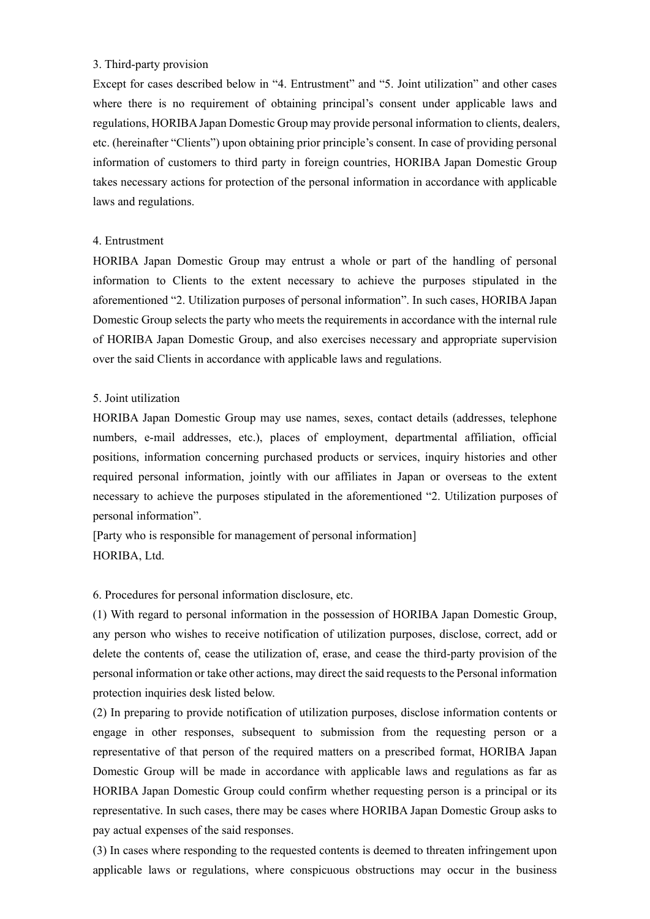## 3. Third-party provision

Except for cases described below in "4. Entrustment" and "5. Joint utilization" and other cases where there is no requirement of obtaining principal's consent under applicable laws and regulations, HORIBA Japan Domestic Group may provide personal information to clients, dealers, etc. (hereinafter "Clients") upon obtaining prior principle's consent. In case of providing personal information of customers to third party in foreign countries, HORIBA Japan Domestic Group takes necessary actions for protection of the personal information in accordance with applicable laws and regulations.

#### 4. Entrustment

HORIBA Japan Domestic Group may entrust a whole or part of the handling of personal information to Clients to the extent necessary to achieve the purposes stipulated in the aforementioned "2. Utilization purposes of personal information". In such cases, HORIBA Japan Domestic Group selects the party who meets the requirements in accordance with the internal rule of HORIBA Japan Domestic Group, and also exercises necessary and appropriate supervision over the said Clients in accordance with applicable laws and regulations.

#### 5. Joint utilization

HORIBA Japan Domestic Group may use names, sexes, contact details (addresses, telephone numbers, e-mail addresses, etc.), places of employment, departmental affiliation, official positions, information concerning purchased products or services, inquiry histories and other required personal information, jointly with our affiliates in Japan or overseas to the extent necessary to achieve the purposes stipulated in the aforementioned "2. Utilization purposes of personal information".

[Party who is responsible for management of personal information] HORIBA, Ltd.

6. Procedures for personal information disclosure, etc.

(1) With regard to personal information in the possession of HORIBA Japan Domestic Group, any person who wishes to receive notification of utilization purposes, disclose, correct, add or delete the contents of, cease the utilization of, erase, and cease the third-party provision of the personal information or take other actions, may direct the said requests to the Personal information protection inquiries desk listed below.

(2) In preparing to provide notification of utilization purposes, disclose information contents or engage in other responses, subsequent to submission from the requesting person or a representative of that person of the required matters on a prescribed format, HORIBA Japan Domestic Group will be made in accordance with applicable laws and regulations as far as HORIBA Japan Domestic Group could confirm whether requesting person is a principal or its representative. In such cases, there may be cases where HORIBA Japan Domestic Group asks to pay actual expenses of the said responses.

(3) In cases where responding to the requested contents is deemed to threaten infringement upon applicable laws or regulations, where conspicuous obstructions may occur in the business